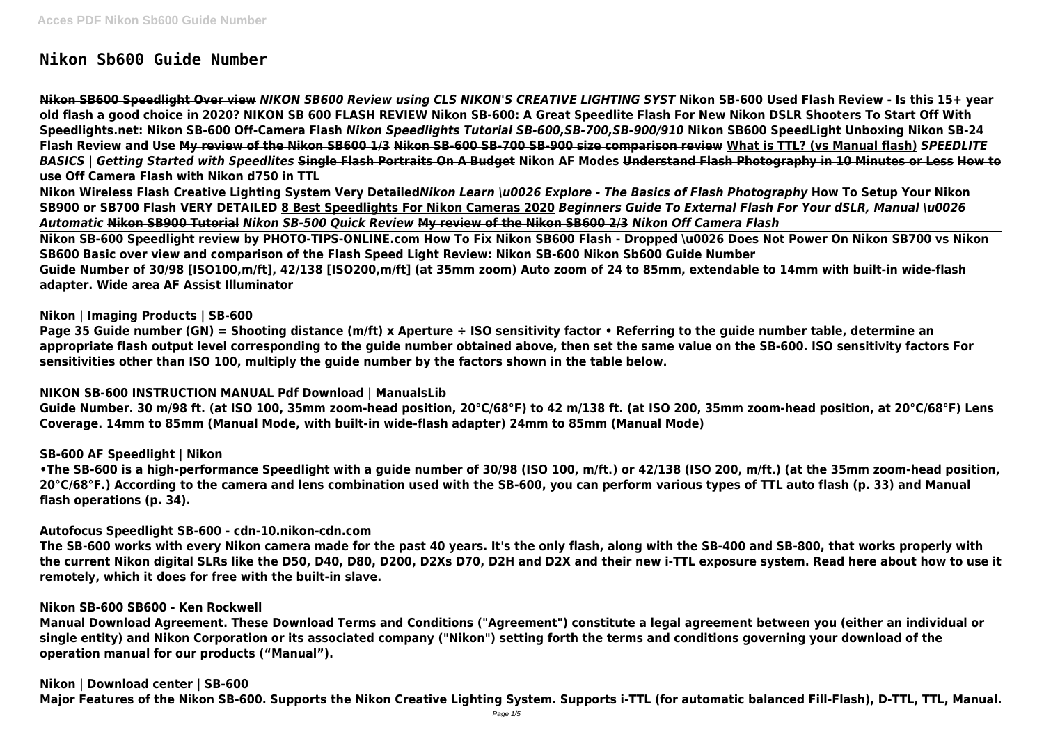# **Nikon Sb600 Guide Number**

**Nikon SB600 Speedlight Over view** *NIKON SB600 Review using CLS NIKON'S CREATIVE LIGHTING SYST* **Nikon SB-600 Used Flash Review - Is this 15+ year old flash a good choice in 2020? NIKON SB 600 FLASH REVIEW Nikon SB-600: A Great Speedlite Flash For New Nikon DSLR Shooters To Start Off With Speedlights.net: Nikon SB-600 Off-Camera Flash** *Nikon Speedlights Tutorial SB-600,SB-700,SB-900/910* **Nikon SB600 SpeedLight Unboxing Nikon SB-24 Flash Review and Use My review of the Nikon SB600 1/3 Nikon SB-600 SB-700 SB-900 size comparison review What is TTL? (vs Manual flash)** *SPEEDLITE BASICS | Getting Started with Speedlites* **Single Flash Portraits On A Budget Nikon AF Modes Understand Flash Photography in 10 Minutes or Less How to use Off Camera Flash with Nikon d750 in TTL**

**Nikon Wireless Flash Creative Lighting System Very Detailed***Nikon Learn \u0026 Explore - The Basics of Flash Photography* **How To Setup Your Nikon SB900 or SB700 Flash VERY DETAILED 8 Best Speedlights For Nikon Cameras 2020** *Beginners Guide To External Flash For Your dSLR, Manual \u0026 Automatic* **Nikon SB900 Tutorial** *Nikon SB-500 Quick Review* **My review of the Nikon SB600 2/3** *Nikon Off Camera Flash* **Nikon SB-600 Speedlight review by PHOTO-TIPS-ONLINE.com How To Fix Nikon SB600 Flash - Dropped \u0026 Does Not Power On Nikon SB700 vs Nikon SB600 Basic over view and comparison of the Flash Speed Light Review: Nikon SB-600 Nikon Sb600 Guide Number Guide Number of 30/98 [ISO100,m/ft], 42/138 [ISO200,m/ft] (at 35mm zoom) Auto zoom of 24 to 85mm, extendable to 14mm with built-in wide-flash adapter. Wide area AF Assist Illuminator**

# **Nikon | Imaging Products | SB-600**

**Page 35 Guide number (GN) = Shooting distance (m/ft) x Aperture ÷ ISO sensitivity factor • Referring to the guide number table, determine an appropriate flash output level corresponding to the guide number obtained above, then set the same value on the SB-600. ISO sensitivity factors For sensitivities other than ISO 100, multiply the guide number by the factors shown in the table below.**

# **NIKON SB-600 INSTRUCTION MANUAL Pdf Download | ManualsLib**

**Guide Number. 30 m/98 ft. (at ISO 100, 35mm zoom-head position, 20°C/68°F) to 42 m/138 ft. (at ISO 200, 35mm zoom-head position, at 20°C/68°F) Lens Coverage. 14mm to 85mm (Manual Mode, with built-in wide-flash adapter) 24mm to 85mm (Manual Mode)**

# **SB-600 AF Speedlight | Nikon**

**•The SB-600 is a high-performance Speedlight with a guide number of 30/98 (ISO 100, m/ft.) or 42/138 (ISO 200, m/ft.) (at the 35mm zoom-head position, 20°C/68°F.) According to the camera and lens combination used with the SB-600, you can perform various types of TTL auto flash (p. 33) and Manual flash operations (p. 34).**

# **Autofocus Speedlight SB-600 - cdn-10.nikon-cdn.com**

**The SB-600 works with every Nikon camera made for the past 40 years. It's the only flash, along with the SB-400 and SB-800, that works properly with the current Nikon digital SLRs like the D50, D40, D80, D200, D2Xs D70, D2H and D2X and their new i-TTL exposure system. Read here about how to use it remotely, which it does for free with the built-in slave.**

# **Nikon SB-600 SB600 - Ken Rockwell**

**Manual Download Agreement. These Download Terms and Conditions ("Agreement") constitute a legal agreement between you (either an individual or single entity) and Nikon Corporation or its associated company ("Nikon") setting forth the terms and conditions governing your download of the operation manual for our products ("Manual").**

**Nikon | Download center | SB-600 Major Features of the Nikon SB-600. Supports the Nikon Creative Lighting System. Supports i-TTL (for automatic balanced Fill-Flash), D-TTL, TTL, Manual.**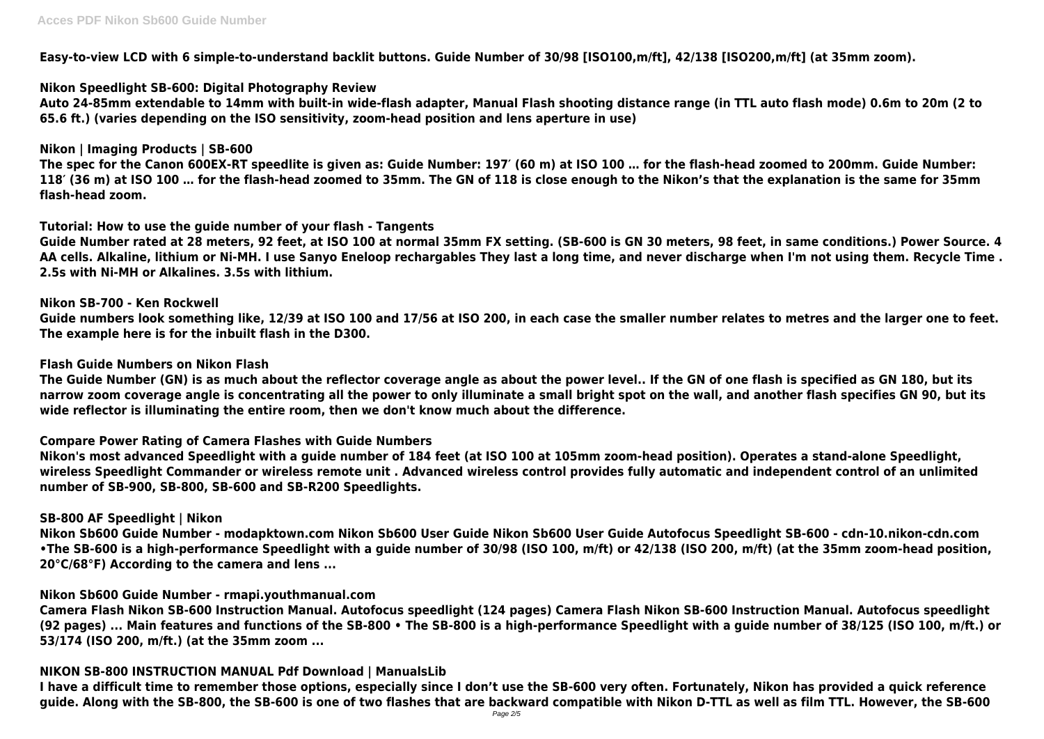**Easy-to-view LCD with 6 simple-to-understand backlit buttons. Guide Number of 30/98 [ISO100,m/ft], 42/138 [ISO200,m/ft] (at 35mm zoom).**

# **Nikon Speedlight SB-600: Digital Photography Review**

**Auto 24-85mm extendable to 14mm with built-in wide-flash adapter, Manual Flash shooting distance range (in TTL auto flash mode) 0.6m to 20m (2 to 65.6 ft.) (varies depending on the ISO sensitivity, zoom-head position and lens aperture in use)**

# **Nikon | Imaging Products | SB-600**

**The spec for the Canon 600EX-RT speedlite is given as: Guide Number: 197′ (60 m) at ISO 100 … for the flash-head zoomed to 200mm. Guide Number: 118′ (36 m) at ISO 100 … for the flash-head zoomed to 35mm. The GN of 118 is close enough to the Nikon's that the explanation is the same for 35mm flash-head zoom.**

# **Tutorial: How to use the guide number of your flash - Tangents**

**Guide Number rated at 28 meters, 92 feet, at ISO 100 at normal 35mm FX setting. (SB-600 is GN 30 meters, 98 feet, in same conditions.) Power Source. 4 AA cells. Alkaline, lithium or Ni-MH. I use Sanyo Eneloop rechargables They last a long time, and never discharge when I'm not using them. Recycle Time . 2.5s with Ni-MH or Alkalines. 3.5s with lithium.**

### **Nikon SB-700 - Ken Rockwell**

**Guide numbers look something like, 12/39 at ISO 100 and 17/56 at ISO 200, in each case the smaller number relates to metres and the larger one to feet. The example here is for the inbuilt flash in the D300.**

### **Flash Guide Numbers on Nikon Flash**

**The Guide Number (GN) is as much about the reflector coverage angle as about the power level.. If the GN of one flash is specified as GN 180, but its narrow zoom coverage angle is concentrating all the power to only illuminate a small bright spot on the wall, and another flash specifies GN 90, but its wide reflector is illuminating the entire room, then we don't know much about the difference.**

#### **Compare Power Rating of Camera Flashes with Guide Numbers**

**Nikon's most advanced Speedlight with a guide number of 184 feet (at ISO 100 at 105mm zoom-head position). Operates a stand-alone Speedlight, wireless Speedlight Commander or wireless remote unit . Advanced wireless control provides fully automatic and independent control of an unlimited number of SB-900, SB-800, SB-600 and SB-R200 Speedlights.**

#### **SB-800 AF Speedlight | Nikon**

**Nikon Sb600 Guide Number - modapktown.com Nikon Sb600 User Guide Nikon Sb600 User Guide Autofocus Speedlight SB-600 - cdn-10.nikon-cdn.com •The SB-600 is a high-performance Speedlight with a guide number of 30/98 (ISO 100, m/ft) or 42/138 (ISO 200, m/ft) (at the 35mm zoom-head position, 20°C/68°F) According to the camera and lens ...**

# **Nikon Sb600 Guide Number - rmapi.youthmanual.com**

**Camera Flash Nikon SB-600 Instruction Manual. Autofocus speedlight (124 pages) Camera Flash Nikon SB-600 Instruction Manual. Autofocus speedlight (92 pages) ... Main features and functions of the SB-800 • The SB-800 is a high-performance Speedlight with a guide number of 38/125 (ISO 100, m/ft.) or 53/174 (ISO 200, m/ft.) (at the 35mm zoom ...**

# **NIKON SB-800 INSTRUCTION MANUAL Pdf Download | ManualsLib**

**I have a difficult time to remember those options, especially since I don't use the SB-600 very often. Fortunately, Nikon has provided a quick reference guide. Along with the SB-800, the SB-600 is one of two flashes that are backward compatible with Nikon D-TTL as well as film TTL. However, the SB-600**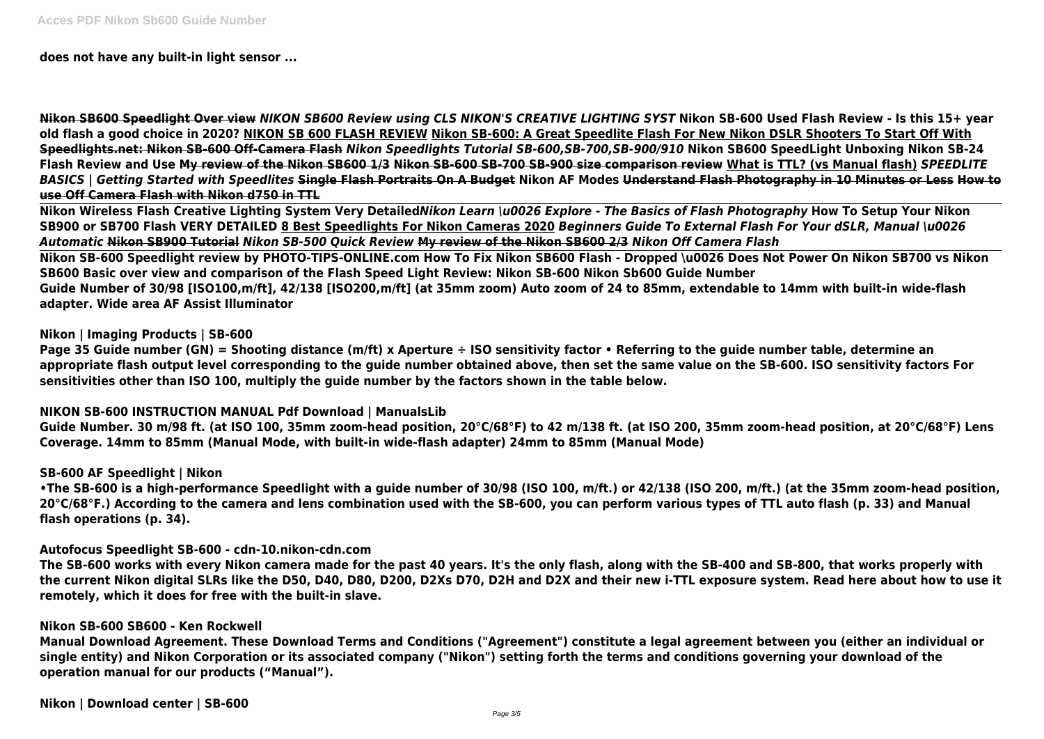**does not have any built-in light sensor ...**

**Nikon SB600 Speedlight Over view** *NIKON SB600 Review using CLS NIKON'S CREATIVE LIGHTING SYST* **Nikon SB-600 Used Flash Review - Is this 15+ year old flash a good choice in 2020? NIKON SB 600 FLASH REVIEW Nikon SB-600: A Great Speedlite Flash For New Nikon DSLR Shooters To Start Off With Speedlights.net: Nikon SB-600 Off-Camera Flash** *Nikon Speedlights Tutorial SB-600,SB-700,SB-900/910* **Nikon SB600 SpeedLight Unboxing Nikon SB-24 Flash Review and Use My review of the Nikon SB600 1/3 Nikon SB-600 SB-700 SB-900 size comparison review What is TTL? (vs Manual flash)** *SPEEDLITE BASICS | Getting Started with Speedlites* **Single Flash Portraits On A Budget Nikon AF Modes Understand Flash Photography in 10 Minutes or Less How to use Off Camera Flash with Nikon d750 in TTL**

**Nikon Wireless Flash Creative Lighting System Very Detailed***Nikon Learn \u0026 Explore - The Basics of Flash Photography* **How To Setup Your Nikon SB900 or SB700 Flash VERY DETAILED 8 Best Speedlights For Nikon Cameras 2020** *Beginners Guide To External Flash For Your dSLR, Manual \u0026 Automatic* **Nikon SB900 Tutorial** *Nikon SB-500 Quick Review* **My review of the Nikon SB600 2/3** *Nikon Off Camera Flash* **Nikon SB-600 Speedlight review by PHOTO-TIPS-ONLINE.com How To Fix Nikon SB600 Flash - Dropped \u0026 Does Not Power On Nikon SB700 vs Nikon SB600 Basic over view and comparison of the Flash Speed Light Review: Nikon SB-600 Nikon Sb600 Guide Number Guide Number of 30/98 [ISO100,m/ft], 42/138 [ISO200,m/ft] (at 35mm zoom) Auto zoom of 24 to 85mm, extendable to 14mm with built-in wide-flash adapter. Wide area AF Assist Illuminator**

# **Nikon | Imaging Products | SB-600**

**Page 35 Guide number (GN) = Shooting distance (m/ft) x Aperture ÷ ISO sensitivity factor • Referring to the guide number table, determine an appropriate flash output level corresponding to the guide number obtained above, then set the same value on the SB-600. ISO sensitivity factors For sensitivities other than ISO 100, multiply the guide number by the factors shown in the table below.**

#### **NIKON SB-600 INSTRUCTION MANUAL Pdf Download | ManualsLib**

**Guide Number. 30 m/98 ft. (at ISO 100, 35mm zoom-head position, 20°C/68°F) to 42 m/138 ft. (at ISO 200, 35mm zoom-head position, at 20°C/68°F) Lens Coverage. 14mm to 85mm (Manual Mode, with built-in wide-flash adapter) 24mm to 85mm (Manual Mode)**

#### **SB-600 AF Speedlight | Nikon**

**•The SB-600 is a high-performance Speedlight with a guide number of 30/98 (ISO 100, m/ft.) or 42/138 (ISO 200, m/ft.) (at the 35mm zoom-head position, 20°C/68°F.) According to the camera and lens combination used with the SB-600, you can perform various types of TTL auto flash (p. 33) and Manual flash operations (p. 34).**

#### **Autofocus Speedlight SB-600 - cdn-10.nikon-cdn.com**

**The SB-600 works with every Nikon camera made for the past 40 years. It's the only flash, along with the SB-400 and SB-800, that works properly with the current Nikon digital SLRs like the D50, D40, D80, D200, D2Xs D70, D2H and D2X and their new i-TTL exposure system. Read here about how to use it remotely, which it does for free with the built-in slave.**

# **Nikon SB-600 SB600 - Ken Rockwell**

**Manual Download Agreement. These Download Terms and Conditions ("Agreement") constitute a legal agreement between you (either an individual or single entity) and Nikon Corporation or its associated company ("Nikon") setting forth the terms and conditions governing your download of the operation manual for our products ("Manual").**

**Nikon | Download center | SB-600**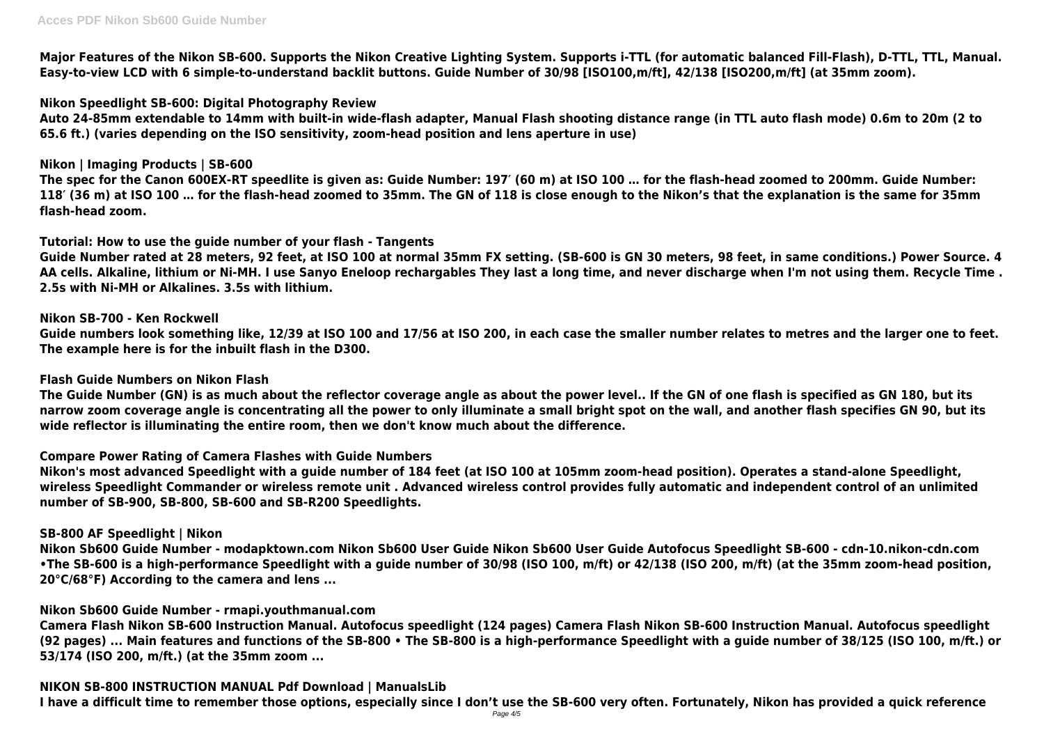**Major Features of the Nikon SB-600. Supports the Nikon Creative Lighting System. Supports i-TTL (for automatic balanced Fill-Flash), D-TTL, TTL, Manual. Easy-to-view LCD with 6 simple-to-understand backlit buttons. Guide Number of 30/98 [ISO100,m/ft], 42/138 [ISO200,m/ft] (at 35mm zoom).**

# **Nikon Speedlight SB-600: Digital Photography Review**

**Auto 24-85mm extendable to 14mm with built-in wide-flash adapter, Manual Flash shooting distance range (in TTL auto flash mode) 0.6m to 20m (2 to 65.6 ft.) (varies depending on the ISO sensitivity, zoom-head position and lens aperture in use)**

# **Nikon | Imaging Products | SB-600**

**The spec for the Canon 600EX-RT speedlite is given as: Guide Number: 197′ (60 m) at ISO 100 … for the flash-head zoomed to 200mm. Guide Number: 118′ (36 m) at ISO 100 … for the flash-head zoomed to 35mm. The GN of 118 is close enough to the Nikon's that the explanation is the same for 35mm flash-head zoom.**

# **Tutorial: How to use the guide number of your flash - Tangents**

**Guide Number rated at 28 meters, 92 feet, at ISO 100 at normal 35mm FX setting. (SB-600 is GN 30 meters, 98 feet, in same conditions.) Power Source. 4 AA cells. Alkaline, lithium or Ni-MH. I use Sanyo Eneloop rechargables They last a long time, and never discharge when I'm not using them. Recycle Time . 2.5s with Ni-MH or Alkalines. 3.5s with lithium.**

# **Nikon SB-700 - Ken Rockwell**

**Guide numbers look something like, 12/39 at ISO 100 and 17/56 at ISO 200, in each case the smaller number relates to metres and the larger one to feet. The example here is for the inbuilt flash in the D300.**

# **Flash Guide Numbers on Nikon Flash**

**The Guide Number (GN) is as much about the reflector coverage angle as about the power level.. If the GN of one flash is specified as GN 180, but its narrow zoom coverage angle is concentrating all the power to only illuminate a small bright spot on the wall, and another flash specifies GN 90, but its wide reflector is illuminating the entire room, then we don't know much about the difference.**

# **Compare Power Rating of Camera Flashes with Guide Numbers**

**Nikon's most advanced Speedlight with a guide number of 184 feet (at ISO 100 at 105mm zoom-head position). Operates a stand-alone Speedlight, wireless Speedlight Commander or wireless remote unit . Advanced wireless control provides fully automatic and independent control of an unlimited number of SB-900, SB-800, SB-600 and SB-R200 Speedlights.**

# **SB-800 AF Speedlight | Nikon**

**Nikon Sb600 Guide Number - modapktown.com Nikon Sb600 User Guide Nikon Sb600 User Guide Autofocus Speedlight SB-600 - cdn-10.nikon-cdn.com •The SB-600 is a high-performance Speedlight with a guide number of 30/98 (ISO 100, m/ft) or 42/138 (ISO 200, m/ft) (at the 35mm zoom-head position, 20°C/68°F) According to the camera and lens ...**

# **Nikon Sb600 Guide Number - rmapi.youthmanual.com**

**Camera Flash Nikon SB-600 Instruction Manual. Autofocus speedlight (124 pages) Camera Flash Nikon SB-600 Instruction Manual. Autofocus speedlight (92 pages) ... Main features and functions of the SB-800 • The SB-800 is a high-performance Speedlight with a guide number of 38/125 (ISO 100, m/ft.) or 53/174 (ISO 200, m/ft.) (at the 35mm zoom ...**

# **NIKON SB-800 INSTRUCTION MANUAL Pdf Download | ManualsLib**

**I have a difficult time to remember those options, especially since I don't use the SB-600 very often. Fortunately, Nikon has provided a quick reference**